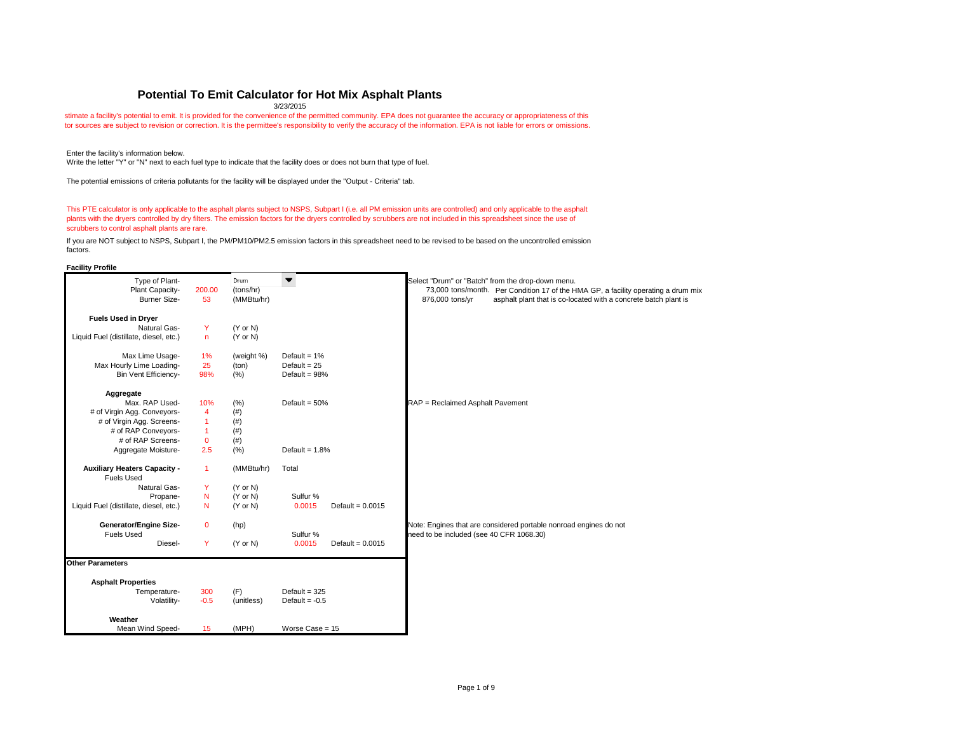**Facility Profile**

stimate a facility's potential to emit. It is provided for the convenience of the permitted community. EPA does not guarantee the accuracy or appropriateness of this tor sources are subject to revision or correction. It is the permittee's responsibility to verify the accuracy of the information. EPA is not liable for errors or omissions.

### **Potential To Emit Calculator for Hot Mix Asphalt Plants**

| <b>Fuels Used in Dryer</b><br><b>Natural Gas-</b><br>Y<br>$(Y \text{ or } N)$<br>Liquid Fuel (distillate, diesel, etc.)<br>$(Y \text{ or } N)$<br>$\mathsf{n}$ |  |
|----------------------------------------------------------------------------------------------------------------------------------------------------------------|--|
|                                                                                                                                                                |  |
|                                                                                                                                                                |  |
|                                                                                                                                                                |  |
| Max Lime Usage-<br>1%<br>(weight %)<br>Default = $1\%$                                                                                                         |  |
| Max Hourly Lime Loading-<br>25<br>(ton)<br>Default = $25$                                                                                                      |  |
| 98%<br>(% )<br><b>Bin Vent Efficiency-</b><br>Default = $98%$                                                                                                  |  |
| Aggregate                                                                                                                                                      |  |
| Max. RAP Used-<br>(% )<br>10%<br>Default = $50%$<br>RAP = Reclaimed Asphalt Pavement                                                                           |  |
| # of Virgin Agg. Conveyors-<br>(# )<br>$\overline{\mathbf{4}}$                                                                                                 |  |
| # of Virgin Agg. Screens-<br>(# )                                                                                                                              |  |
| # of RAP Conveyors-<br>(# )                                                                                                                                    |  |
| # of RAP Screens-<br>$\mathbf 0$<br>(# )                                                                                                                       |  |
| 2.5<br>(% )<br>Default = $1.8%$<br>Aggregate Moisture-                                                                                                         |  |
| <b>Auxiliary Heaters Capacity -</b><br>(MMBtu/hr)<br>$\mathbf{1}$<br>Total<br><b>Fuels Used</b>                                                                |  |
| <b>Natural Gas-</b><br>Y<br>$(Y \text{ or } N)$                                                                                                                |  |
| N<br>$(Y \text{ or } N)$<br>Sulfur %<br>Propane-                                                                                                               |  |
| 0.0015<br>Liquid Fuel (distillate, diesel, etc.)<br>N<br>$(Y \text{ or } N)$<br>Default = $0.0015$                                                             |  |
| <b>Generator/Engine Size-</b><br>Note: Engines that are considered portable nonroad engines do not<br>$\mathbf 0$<br>(hp)                                      |  |
| <b>Fuels Used</b><br>Sulfur %<br>need to be included (see 40 CFR 1068.30)                                                                                      |  |
| Y<br>0.0015<br>Diesel-<br>$(Y \text{ or } N)$<br>Default = $0.0015$                                                                                            |  |
| <b>Other Parameters</b>                                                                                                                                        |  |
| <b>Asphalt Properties</b>                                                                                                                                      |  |
| 300<br>(F)<br>Default = $325$<br>Temperature-                                                                                                                  |  |
| $-0.5$<br>(unitless)<br>Volatility-<br>Default = $-0.5$                                                                                                        |  |
| Weather                                                                                                                                                        |  |
| Mean Wind Speed-<br>(MPH)<br>Worse $Case = 15$<br>15                                                                                                           |  |

3/23/2015

Enter the facility's information below.

Write the letter "Y" or "N" next to each fuel type to indicate that the facility does or does not burn that type of fuel.

The potential emissions of criteria pollutants for the facility will be displayed under the "Output - Criteria" tab.

This PTE calculator is only applicable to the asphalt plants subject to NSPS, Subpart I (i.e. all PM emission units are controlled) and only applicable to the asphalt plants with the dryers controlled by dry filters. The emission factors for the dryers controlled by scrubbers are not included in this spreadsheet since the use of scrubbers to control asphalt plants are rare.

If you are NOT subject to NSPS, Subpart I, the PM/PM10/PM2.5 emission factors in this spreadsheet need to be revised to be based on the uncontrolled emission factors.

 $\limsup$  a drum mix tch plant is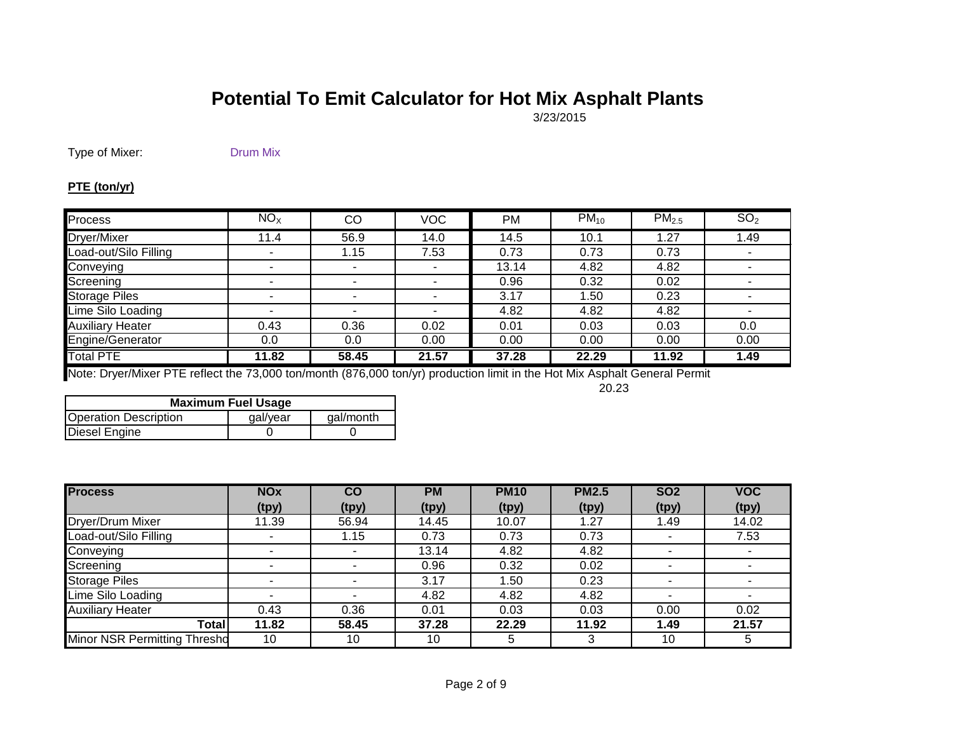3/23/2015

Type of Mixer: Drum Mix

#### **PTE (ton/yr)**

| Process                 | $NO_{X}$ | CO    | <b>VOC</b> | <b>PM</b> | $PM_{10}$ | PM <sub>2.5</sub> | SO <sub>2</sub> |
|-------------------------|----------|-------|------------|-----------|-----------|-------------------|-----------------|
| Dryer/Mixer             | 11.4     | 56.9  | 14.0       | 14.5      | 10.1      | 1.27              | 1.49            |
| Load-out/Silo Filling   |          | 1.15  | 7.53       | 0.73      | 0.73      | 0.73              |                 |
| Conveying               |          |       |            | 13.14     | 4.82      | 4.82              |                 |
| Screening               |          |       |            | 0.96      | 0.32      | 0.02              |                 |
| <b>Storage Piles</b>    |          |       |            | 3.17      | 1.50      | 0.23              |                 |
| Lime Silo Loading       |          |       |            | 4.82      | 4.82      | 4.82              |                 |
| <b>Auxiliary Heater</b> | 0.43     | 0.36  | 0.02       | 0.01      | 0.03      | 0.03              | 0.0             |
| Engine/Generator        | 0.0      | 0.0   | 0.00       | 0.00      | 0.00      | 0.00              | 0.00            |
| <b>Total PTE</b>        | 11.82    | 58.45 | 21.57      | 37.28     | 22.29     | 11.92             | 1.49            |

Note: Dryer/Mixer PTE reflect the 73,000 ton/month (876,000 ton/yr) production limit in the Hot Mix Asphalt General Permit

20.23

| <b>Maximum Fuel Usage</b>    |          |           |  |  |  |
|------------------------------|----------|-----------|--|--|--|
| <b>Operation Description</b> | gal/year | gal/month |  |  |  |
| Diesel Engine                |          |           |  |  |  |

| <b>Process</b>                      | <b>NOx</b> | CO    | <b>PM</b> | <b>PM10</b> | <b>PM2.5</b> | SO <sub>2</sub>       | <b>VOC</b> |
|-------------------------------------|------------|-------|-----------|-------------|--------------|-----------------------|------------|
|                                     | (tpy)      | (tpy) | (tpy)     | (tpy)       | (tpy)        | (tpy)                 | (tpy)      |
| Dryer/Drum Mixer                    | 11.39      | 56.94 | 14.45     | 10.07       | 1.27         | 1.49                  | 14.02      |
| Load-out/Silo Filling               |            | 1.15  | 0.73      | 0.73        | 0.73         |                       | 7.53       |
| Conveying                           | -          |       | 13.14     | 4.82        | 4.82         | $\tilde{\phantom{a}}$ |            |
| Screening                           |            |       | 0.96      | 0.32        | 0.02         | ۰                     |            |
| <b>Storage Piles</b>                |            |       | 3.17      | 1.50        | 0.23         | $\blacksquare$        |            |
| Lime Silo Loading                   |            |       | 4.82      | 4.82        | 4.82         |                       |            |
| <b>Auxiliary Heater</b>             | 0.43       | 0.36  | 0.01      | 0.03        | 0.03         | 0.00                  | 0.02       |
| Total                               | 11.82      | 58.45 | 37.28     | 22.29       | 11.92        | 1.49                  | 21.57      |
| <b>Minor NSR Permitting Thresho</b> | 10         | 10    | 10        | 5           | 3            | 10                    |            |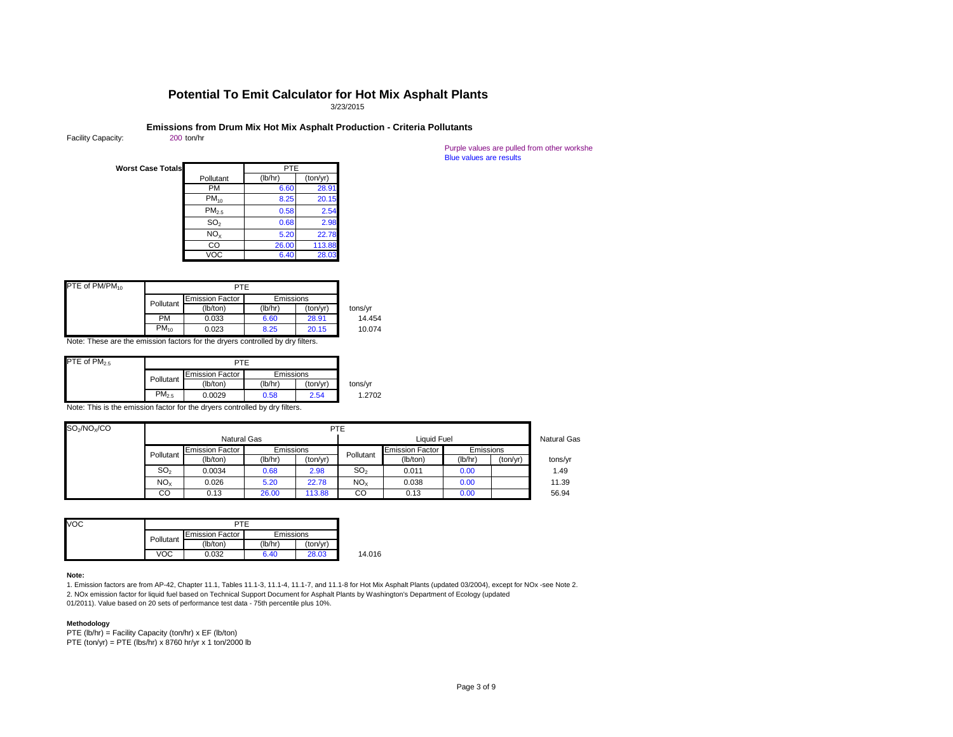Purple values are pulled from other workshe Blue values are results

| <b>Worst Case Totals</b> |                   | <b>PTE</b> |          |
|--------------------------|-------------------|------------|----------|
|                          | Pollutant         | (lb/hr)    | (ton/yr) |
|                          | PM                | 6.60       | 28.91    |
|                          | $PM_{10}$         | 8.25       | 20.15    |
|                          | PM <sub>2.5</sub> | 0.58       | 2.54     |
|                          | SO <sub>2</sub>   | 0.68       | 2.98     |
|                          | NO <sub>x</sub>   | 5.20       | 22.78    |
|                          | CO                | 26.00      | 113.88   |
|                          | VOC               | 6.40       | 28.03    |

| PTE of PM/PM <sub>10</sub> |           |                        |                  |          |         |
|----------------------------|-----------|------------------------|------------------|----------|---------|
|                            |           | <b>Emission Factor</b> | <b>Emissions</b> |          |         |
|                            | Pollutant | (lb/ton)               | (lb/hr)          | (ton/yr) | tons/yr |
|                            | PM        | 0.033                  | 6.60             | 28.91    | 14.454  |
|                            | $PM_{10}$ | 0.023                  | 8.25             | 20.15    | 10.074  |

Note: These are the emission factors for the dryers controlled by dry filters.

| PTE of $PM_{2.5}$ |            |                        |                  |          |         |
|-------------------|------------|------------------------|------------------|----------|---------|
|                   |            | <b>Emission Factor</b> | <b>Emissions</b> |          |         |
|                   | Pollutant  | (lb/ton)               | (lb/hr)          | (ton/yr) | tons/yr |
|                   | $PM_{2.5}$ | 0.0029                 | 0.58             | 2.54     | 1.2702  |

Note: This is the emission factor for the dryers controlled by dry filters.

| $SO_2/NO_X/CO$ |                                   | <b>PTE</b>             |                  |          |                    |                        |                  |          |         |
|----------------|-----------------------------------|------------------------|------------------|----------|--------------------|------------------------|------------------|----------|---------|
|                | <b>Natural Gas</b><br>Liquid Fuel |                        |                  |          | <b>Natural Gas</b> |                        |                  |          |         |
|                | Pollutant                         | <b>Emission Factor</b> | <b>Emissions</b> |          | Pollutant          | <b>Emission Factor</b> | <b>Emissions</b> |          |         |
|                |                                   | (lb/ton)               | (lb/hr)          | (ton/yr) |                    | (lb/ton)               | (lb/hr)          | (ton/yr) | tons/yr |
|                | SO <sub>2</sub>                   | 0.0034                 | 0.68             | 2.98     | SO <sub>2</sub>    | 0.011                  | 0.00             |          | 1.49    |
|                | NO <sub>X</sub>                   | 0.026                  | 5.20             | 22.78    | NO <sub>x</sub>    | 0.038                  | 0.00             |          | 11.39   |
|                | CO                                | 0.13                   | 26.00            | 113.88   | CO                 | 0.13                   | 0.00             |          | 56.94   |

| VOC | PTF       |                        |           |          |        |
|-----|-----------|------------------------|-----------|----------|--------|
|     | Pollutant | <b>Emission Factor</b> | Emissions |          |        |
|     |           | (lb/ton)               | (lb/hr)   | (ton/yr) |        |
|     | voc       | 0.032                  | 6.40      | 28.03    | 14.016 |

#### **Note:**

1. Emission factors are from AP-42, Chapter 11.1, Tables 11.1-3, 11.1-4, 11.1-7, and 11.1-8 for Hot Mix Asphalt Plants (updated 03/2004), except for NOx -see Note 2. 2. NOx emission factor for liquid fuel based on Technical Support Document for Asphalt Plants by Washington's Department of Ecology (updated 01/2011). Value based on 20 sets of performance test data - 75th percentile plus 10%.

#### **Methodology**

PTE (lb/hr) = Facility Capacity (ton/hr)  $x$  EF (lb/ton) PTE  $(ton/yr) = PTE$  (lbs/hr) x 8760 hr/yr x 1 ton/2000 lb 3/23/2015

# **Emissions from Drum Mix Hot Mix Asphalt Production - Criteria Pollutants** 200 ton/hr

Facility Capacity:

## **Potential To Emit Calculator for Hot Mix Asphalt Plants**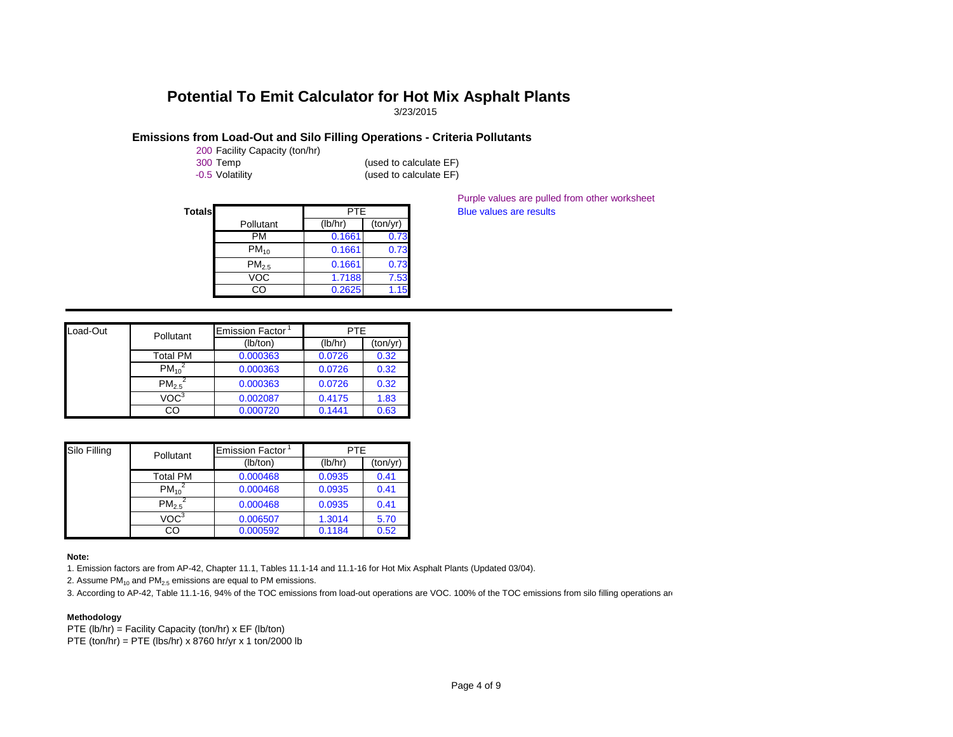3/23/2015

### **Emissions from Load-Out and Silo Filling Operations - Criteria Pollutants**

200 Facility Capacity (ton/hr)

300 Temp (used to calculate EF) -0.5 Volatility (used to calculate EF)

**Totals Blue values are results Blue values are results** Pollutant PTE (lb/hr) (ton/yr) PM 0.1661 0.73 PM<sub>10</sub> 0.1661 0.73 PM<sub>2.5</sub> 0.1661 0.73 VOC 1.7188 7.53<br>CO 0.2625 1.15  $0.2625$  1.15

Purple values are pulled from other worksheet

| Load-Out | Pollutant               | Emission Factor | <b>PTE</b> |          |
|----------|-------------------------|-----------------|------------|----------|
|          |                         | (lb/ton)        | (lb/hr)    | (ton/yr) |
|          | Total PM                | 0.000363        | 0.0726     | 0.32     |
|          | $PM_{10}^2$             | 0.000363        | 0.0726     | 0.32     |
|          | $\overline{PM_{2.5}}^2$ | 0.000363        | 0.0726     | 0.32     |
|          | VOC <sup>3</sup>        | 0.002087        | 0.4175     | 1.83     |
|          | CO                      | 0.000720        | 0.1441     | 0.63     |

| Silo Filling | Pollutant        | <b>Emission Factor</b> | PTE.    |          |  |
|--------------|------------------|------------------------|---------|----------|--|
|              |                  | (lb/ton)               | (lb/hr) | (ton/yr) |  |
|              | Total PM         | 0.000468               | 0.0935  | 0.41     |  |
|              | $PM_{10}^2$      | 0.000468               | 0.0935  | 0.41     |  |
|              | $PM_{2.5}^2$     | 0.000468               | 0.0935  | 0.41     |  |
|              | VOC <sup>3</sup> | 0.006507               | 1.3014  | 5.70     |  |
|              | CO               | 0.000592               | 0.1184  | 0.52     |  |

#### **Note:**

1. Emission factors are from AP-42, Chapter 11.1, Tables 11.1-14 and 11.1-16 for Hot Mix Asphalt Plants (Updated 03/04).

2. Assume  $PM_{10}$  and  $PM_{2.5}$  emissions are equal to PM emissions.

3. According to AP-42, Table 11.1-16, 94% of the TOC emissions from load-out operations are VOC. 100% of the TOC emissions from silo filling operations are

#### **Methodology**

PTE (lb/hr) = Facility Capacity (ton/hr) x EF (lb/ton) PTE (ton/hr) = PTE (lbs/hr) x 8760 hr/yr x 1 ton/2000 lb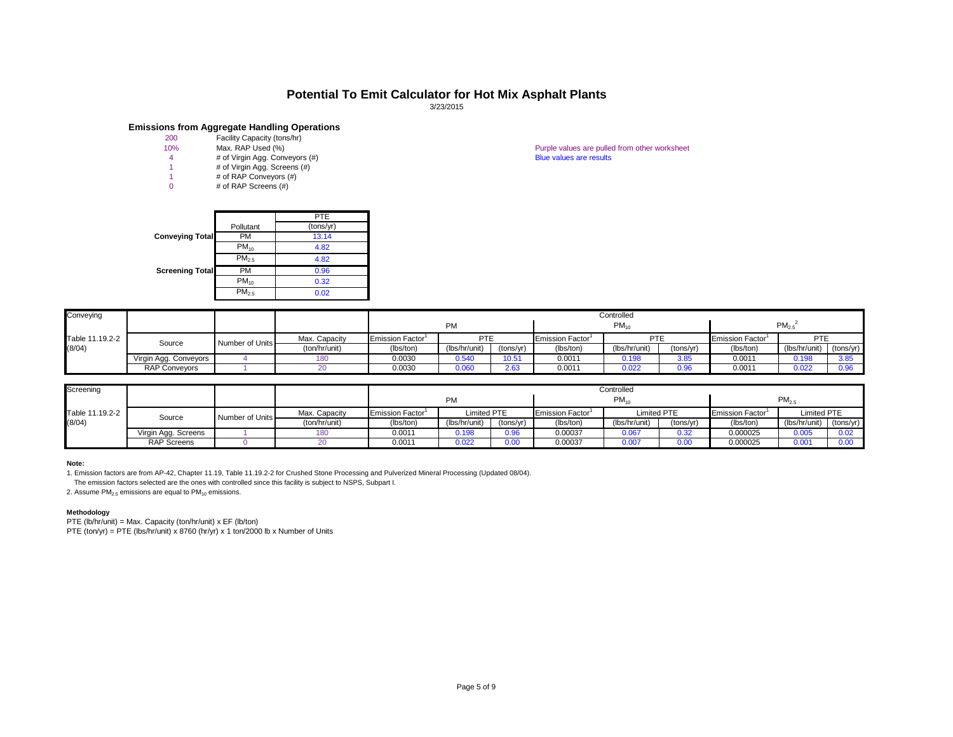|                        |                   | <b>PTE</b> |
|------------------------|-------------------|------------|
|                        | Pollutant         | (tons/yr)  |
| <b>Conveying Total</b> | РM                | 13.14      |
|                        | $PM_{10}$         | 4.82       |
|                        | PM <sub>2.5</sub> | 4.82       |
| <b>Screening Total</b> | PM                | 0.96       |
|                        | $PM_{10}$         | 0.32       |
|                        | PM <sub>2.5</sub> | 0.02       |

10% Max. RAP Used (%) **Max. RAP Used (%)** Purple values are pulled from other worksheet 4 and 4 and 4 and 4 and 4 and 4 and 4 and 4 and 4 and 4 and 4 and 4 and 4 and 4 and 4 and 4 and 4 and 4 and 4 and 4 and 4 and 4 and 4

| Conveying       |                       |                 |               |                              | PM            |           |                              | Controlled<br>$PM_{10}$ | $PM_{2.5}$ |                               |               |           |
|-----------------|-----------------------|-----------------|---------------|------------------------------|---------------|-----------|------------------------------|-------------------------|------------|-------------------------------|---------------|-----------|
| Table 11.19.2-2 | Source                | Number of Units | Max. Capacity | Emission Factor <sup>1</sup> | <b>PTE</b>    |           | Emission Factor <sup>1</sup> | <b>PTE</b>              |            | Emission Factor <sup>1</sup>  | <b>PTE</b>    |           |
| (8/04)          |                       |                 | (ton/hr/unit) | (lbs/ton)                    | (lbs/hr/unit) | (tons/yr) | (lbs/ton)                    | (lbs/hr/unit)           | (tons/yr)  | (lbs/ton)<br>0.0011<br>0.0011 | (lbs/hr/unit) | (tons/yr) |
|                 | Virgin Agg. Conveyors |                 | 180           | 0.0030                       | 0.540         | 10.51     | 0.001'                       | 0.198                   | 3.85       |                               | 0.198         | 3.85      |
|                 | <b>RAP Conveyors</b>  |                 | 20            | 0.0030                       | 0.06          | 2.63      | 0.0011                       | 0.022                   | 0.96       |                               | 0.022         | 0.96      |
|                 |                       |                 |               |                              |               |           |                              |                         |            |                               |               |           |

| Screening       |                     |                 |               | Controlled                   |               |                                             |           |               |           |                              |                    |           |  |
|-----------------|---------------------|-----------------|---------------|------------------------------|---------------|---------------------------------------------|-----------|---------------|-----------|------------------------------|--------------------|-----------|--|
|                 |                     |                 |               | <b>PM</b>                    |               |                                             | $PM_{10}$ |               |           | $PM_{2.5}$                   |                    |           |  |
| Table 11.19.2-2 | Source              | Number of Units | Max. Capacity | Emission Factor <sup>1</sup> |               | Limited PTE<br>Emission Factor <sup>1</sup> |           | Limited PTE   |           | Emission Factor <sup>1</sup> | <b>Limited PTE</b> |           |  |
| (8/04)          |                     |                 | (ton/hr/unit) | (lbs/ton)                    | (lbs/hr/unit) | (tons/yr)                                   | (lbs/ton) | (lbs/hr/unit) | (tons/yr) | (lbs/ton)                    | (lbs/hr/unit)      | (tons/yr) |  |
|                 | Virgin Agg. Screens |                 | 180           | 0.0011                       | 0.198         | 0.96                                        | 0.00037   | 0.067         | 0.32      | 0.000025                     | 0.005              | 0.02      |  |
|                 | <b>RAP Screens</b>  |                 |               | 0.0011                       | 0.022         | 0.00                                        | 0.00037   | 0.007         | $0.00\,$  | 0.000025                     | 0.00               |           |  |

#### **Note:**

1. Emission factors are from AP-42, Chapter 11.19, Table 11.19.2-2 for Crushed Stone Processing and Pulverized Mineral Processing (Updated 08/04).

The emission factors selected are the ones with controlled since this facility is subject to NSPS, Subpart I.

2. Assume  $PM<sub>2.5</sub>$  emissions are equal to  $PM<sub>10</sub>$  emissions.

#### **Methodology**

PTE (lb/hr/unit) = Max. Capacity (ton/hr/unit)  $x \text{ EF (lb/ton)}$ 

PTE  $(ton/yr) = PTE (lbs/hr/unit) \times 8760 (hr/yr) \times 1 ton/2000 lb \times Number of Units$ 

## **Potential To Emit Calculator for Hot Mix Asphalt Plants**

3/23/2015

# **Emissions from Aggregate Handling Operations**<br>200 Facility Capacity (tons/hr)

- 
- 200 Facility Capacity (tons/hr)<br>10% Max. RAP Used (%)
- 4 # of Virgin Agg. Conveyors (#)<br>1 # of Virgin Agg. Screens (#)
- 1 # of Virgin Agg. Screens (#)<br>1 # of RAP Conveyors (#)
- $#$  of RAP Conveyors  $#$
- 0 # of RAP Screens (#)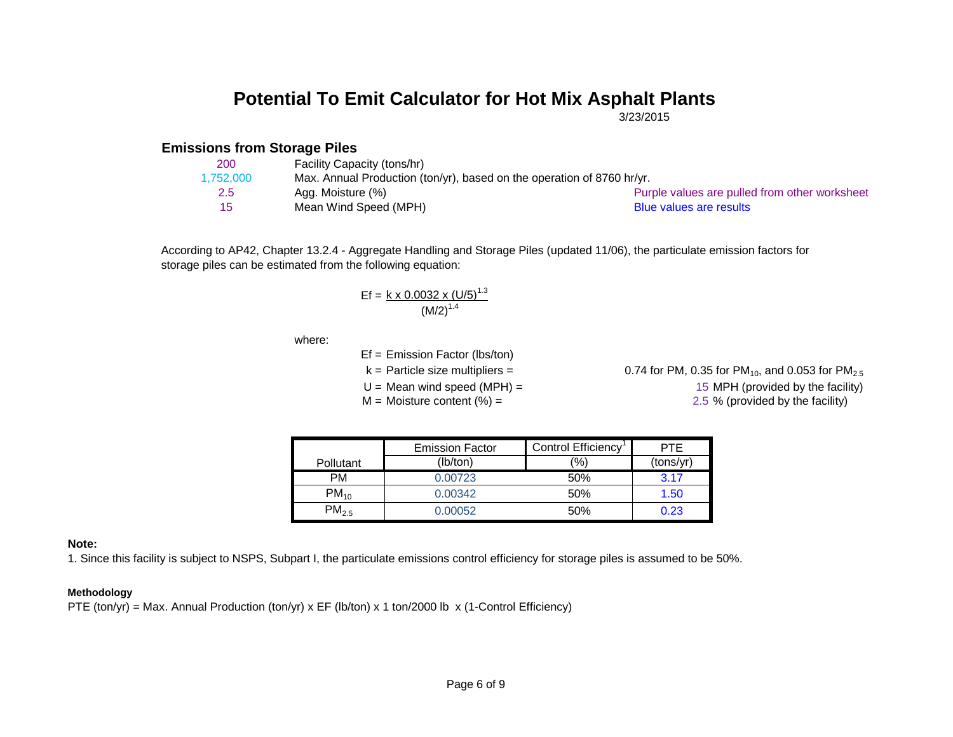3/23/2015

#### **Emissions from Storage Piles**

| 200       | Facility Capacity (tons/hr)                                            |                                               |
|-----------|------------------------------------------------------------------------|-----------------------------------------------|
| 1.752.000 | Max. Annual Production (ton/yr), based on the operation of 8760 hr/yr. |                                               |
| 2.5       | Agg. Moisture (%)                                                      | Purple values are pulled from other worksheet |
| 15        | Mean Wind Speed (MPH)                                                  | Blue values are results                       |

According to AP42, Chapter 13.2.4 - Aggregate Handling and Storage Piles (updated 11/06), the particulate emission factors for storage piles can be estimated from the following equation:

$$
Ef = \frac{k \times 0.0032 \times (U/5)^{1.3}}{(M/2)^{1.4}}
$$

where:

- Ef = Emission Factor (lbs/ton)
- 
- 

 $k =$  Particle size multipliers = 0.74 for PM, 0.35 for PM<sub>10</sub>, and 0.053 for PM<sub>2.5</sub>  $U = Mean$  wind speed (MPH) = 15 MPH (provided by the facility)  $M =$  Moisture content (%) = 2.5 % (provided by the facility)

|            | <b>Emission Factor</b> | Control Efficiency | PTF       |
|------------|------------------------|--------------------|-----------|
| Pollutant  | (lb/ton)               | $\frac{(0)}{(0)}$  | (tons/yr) |
| PM         | 0.00723                | 50%                | 3.17      |
| $PM_{10}$  | 0.00342                | 50%                | 1.50      |
| $PM_{2.5}$ | 0.00052                | 50%                | 0.23      |

#### **Note:**

1. Since this facility is subject to NSPS, Subpart I, the particulate emissions control efficiency for storage piles is assumed to be 50%.

#### **Methodology**

PTE (ton/yr) = Max. Annual Production (ton/yr) x EF (lb/ton) x 1 ton/2000 lb x (1-Control Efficiency)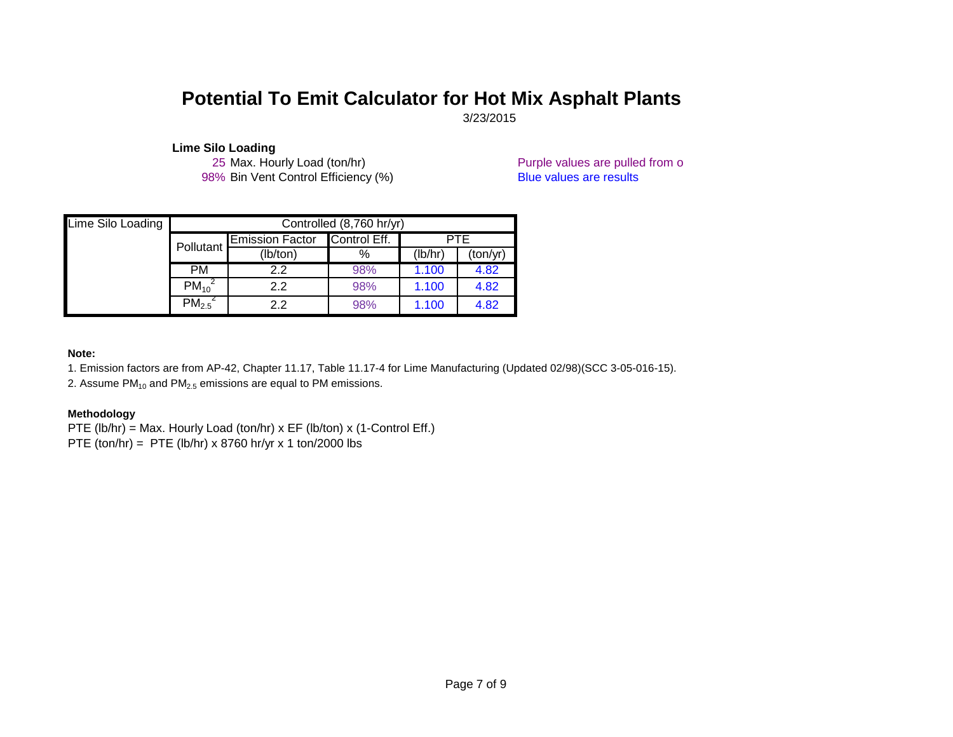3/23/2015

Lime Silo Loading<br>25 Max. Hourly Load (ton/hr) 98% Bin Vent Control Efficiency (%) Blue values are results

Purple values are pulled from o

| Lime Silo Loading |             |                        | Controlled (8,760 hr/yr) |       |      |  |
|-------------------|-------------|------------------------|--------------------------|-------|------|--|
|                   | Pollutant   | <b>Emission Factor</b> | Control Eff.             |       | PTE  |  |
|                   |             | (lb/ton)               | (lb/hr)<br>%<br>(ton/yr) |       |      |  |
|                   | <b>PM</b>   | 2.2                    | 98%                      | 1.100 | 4.82 |  |
|                   | $PM_{10}^2$ | $2.2^{\circ}$          | 98%                      | 1.100 | 4.82 |  |
|                   | $PM_{2.5}$  | 2.2                    | 98%                      | 1.100 | 4.82 |  |

#### **Note:**

1. Emission factors are from AP-42, Chapter 11.17, Table 11.17-4 for Lime Manufacturing (Updated 02/98)(SCC 3-05-016-15).

2. Assume  $PM_{10}$  and  $PM_{2.5}$  emissions are equal to PM emissions.

#### **Methodology**

- PTE (lb/hr) = Max. Hourly Load (ton/hr) x EF (lb/ton) x (1-Control Eff.)
- PTE (ton/hr) = PTE (lb/hr) x 8760 hr/yr x 1 ton/2000 lbs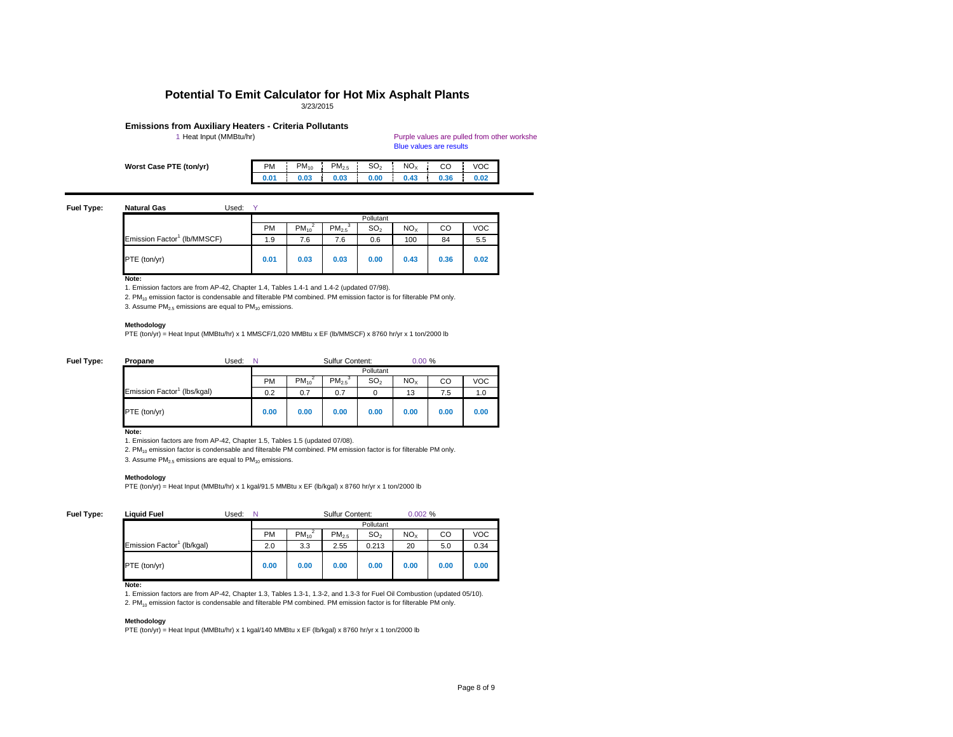#### Purple values are pulled from other workshe Blue values are results

PM  $\,$ i PM $_{10}$  i PM $_{2.5}$  i SO $_{2}$  i NO $_{\rm X}$  i CO i VOC **0.01 0.03 0.03 0.00 0.43 0.36 0.02**

#### **Fuel Type: Natural Gas Used:** Y

| Usec |
|------|
|------|

| <b>Worst Case PTE (ton/yr)</b> |  |  |
|--------------------------------|--|--|
|--------------------------------|--|--|

| .<br>----                               |           |           |                   |                 |                 |      |            |
|-----------------------------------------|-----------|-----------|-------------------|-----------------|-----------------|------|------------|
|                                         |           |           |                   | Pollutant       |                 |      |            |
|                                         | <b>PM</b> | $PM_{10}$ | PM <sub>2.5</sub> | SO <sub>2</sub> | NO <sub>X</sub> | CO   | <b>VOC</b> |
| Emission Factor <sup>1</sup> (lb/MMSCF) | 1.9       | 7.6       | 7.6               | 0.6             | 100             | 84   | 5.5        |
| PTE (ton/yr)                            | 0.01      | 0.03      | 0.03              | 0.00            | 0.43            | 0.36 | 0.02       |

**Note:**

1. Emission factors are from AP-42, Chapter 1.4, Tables 1.4-1 and 1.4-2 (updated 07/98).

2. PM<sub>10</sub> emission factor is condensable and filterable PM combined. PM emission factor is for filterable PM only.

3. Assume  $PM_{2.5}$  emissions are equal to  $PM_{10}$  emissions.

#### **Methodology**

PTE (ton/yr) = Heat Input (MMBtu/hr) x 1 MMSCF/1,020 MMBtu x EF (lb/MMSCF) x 8760 hr/yr x 1 ton/2000 lb

| Fuel Type: | Propane                                 | Used: |           |           | <b>Sulfur Content:</b> |                 | 0.00%           |      |            |
|------------|-----------------------------------------|-------|-----------|-----------|------------------------|-----------------|-----------------|------|------------|
|            |                                         |       |           |           |                        | Pollutant       |                 |      |            |
|            |                                         |       | <b>PM</b> | $PM_{10}$ | $PM_{2.5}$             | SO <sub>2</sub> | NO <sub>X</sub> | CO   | <b>VOC</b> |
|            | Emission Factor <sup>1</sup> (lbs/kgal) |       | 0.2       | 0.7       | 0.7                    | 0               | 13              | 7.5  | 1.0        |
|            | PTE (ton/yr)                            |       | 0.00      | 0.00      | 0.00                   | 0.00            | 0.00            | 0.00 | 0.00       |

**Note:**

1. Emission factors are from AP-42, Chapter 1.5, Tables 1.5 (updated 07/08).

2.  $PM_{10}$  emission factor is condensable and filterable PM combined. PM emission factor is for filterable PM only.

3. Assume  $PM<sub>2.5</sub>$  emissions are equal to  $PM<sub>10</sub>$  emissions.

#### **Methodology**

PTE (ton/yr) = Heat Input (MMBtu/hr) x 1 kgal/91.5 MMBtu x EF (lb/kgal) x 8760 hr/yr x 1 ton/2000 lb

#### **Fuel Type:**

| <b>Liquid Fuel</b>                     | Used: | N    | <b>Sulfur Content:</b> |                   |                 |                 | 0.002% |            |  |  |
|----------------------------------------|-------|------|------------------------|-------------------|-----------------|-----------------|--------|------------|--|--|
|                                        |       |      |                        |                   | Pollutant       |                 |        |            |  |  |
|                                        |       | PM   | $PM_{10}$              | PM <sub>2.5</sub> | SO <sub>2</sub> | NO <sub>X</sub> | CO     | <b>VOC</b> |  |  |
| Emission Factor <sup>1</sup> (lb/kgal) |       | 2.0  | 3.3                    | 2.55              | 0.213           | 20              | 5.0    | 0.34       |  |  |
| <b>PTE</b> (ton/yr)                    |       | 0.00 | 0.00                   | 0.00              | 0.00            | 0.00            | 0.00   | 0.00       |  |  |

**Note:**

1. Emission factors are from AP-42, Chapter 1.3, Tables 1.3-1, 1.3-2, and 1.3-3 for Fuel Oil Combustion (updated 05/10).

2. PM<sub>10</sub> emission factor is condensable and filterable PM combined. PM emission factor is for filterable PM only.

#### **Methodology**

PTE (ton/yr) = Heat Input (MMBtu/hr) x 1 kgal/140 MMBtu x EF (lb/kgal) x 8760 hr/yr x 1 ton/2000 lb

## **Potential To Emit Calculator for Hot Mix Asphalt Plants**

3/23/2015

# **Emissions from Auxiliary Heaters - Criteria Pollutants**<br>1 Heat Input (MMBtu/hr)